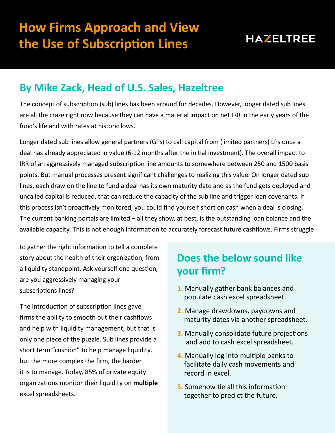

## **By Mike Zack, Head of U.S. Sales, Hazeltree**

The concept of subscription (sub) lines has been around for decades. However, longer dated sub lines are all the craze right now because they can have a material impact on net IRR in the early years of the fund's life and with rates at historic lows.

Longer dated sub lines allow general partners (GPs) to call capital from (limited partners) LPs once a deal has already appreciated in value (6-12 months after the initial investment). The overall impact to IRR of an aggressively managed subscription line amounts to somewhere between 250 and 1500 basis points. But manual processes present significant challenges to realizing this value. On longer dated sub lines, each draw on the line to fund a deal has its own maturity date and as the fund gets deployed and uncalled capital is reduced, that can reduce the capacity of the sub line and trigger loan covenants. If this process isn't proactively monitored, you could find yourself short on cash when a deal is closing. The current banking portals are limited – all they show, at best, is the outstanding loan balance and the available capacity. This is not enough information to accurately forecast future cashflows. Firms struggle

to gather the right information to tell a complete story about the health of their organization, from a liquidity standpoint. Ask yourself one question, are you aggressively managing your subscriptions lines?

The introduction of subscription lines gave firms the ability to smooth out their cashflows and help with liquidity management, but that is only one piece of the puzzle. Sub lines provide a short term "cushion" to help manage liquidity, but the more complex the firm, the harder it is to manage. Today, 85% of private equity organizations monitor their liquidity on **multiple** excel spreadsheets.

## **Does the below sound like your firm?**

- **1.** Manually gather bank balances and populate cash excel spreadsheet.
- **2.** Manage drawdowns, paydowns and maturity dates via another spreadsheet.
- **3.** Manually consolidate future projections and add to cash excel spreadsheet.
- **4.** Manually log into multiple banks to facilitate daily cash movements and record in excel.
- **5.** Somehow tie all this information together to predict the future.